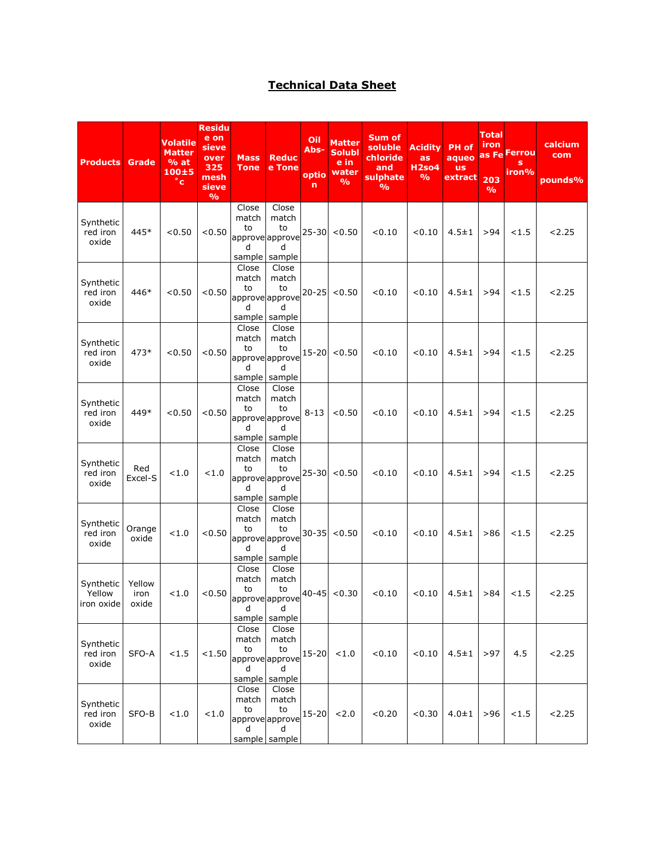## **Technical Data Sheet**

| <b>Products</b>                   | Grade                   | <b>Volatile</b><br><b>Matter</b><br>% at<br>$100 + 5$<br>$^{\circ}$ c | <b>Residu</b><br>e on<br>sieve<br>over<br>325<br>mesh<br>sieve<br>$\frac{0}{0}$ | <b>Mass</b><br><b>Tone</b>          | <b>Reduc</b><br>e Tone                                        | Oil<br>Abs-<br>optio<br>n | <b>Matter</b><br><b>Solubl</b><br>e in<br>water<br>$\frac{9}{6}$ | Sum of<br>soluble<br>chloride<br>and<br>sulphate<br>$\frac{0}{0}$ | <b>Acidity</b><br>as<br><b>H2so4</b><br>$\frac{9}{6}$ | PH of<br>aqueo<br><b>us</b><br>extract | Total<br>iron<br>203<br>$\frac{9}{6}$ | as Fe Ferrou<br>s<br>iron% | calcium<br>com<br>pounds% |
|-----------------------------------|-------------------------|-----------------------------------------------------------------------|---------------------------------------------------------------------------------|-------------------------------------|---------------------------------------------------------------|---------------------------|------------------------------------------------------------------|-------------------------------------------------------------------|-------------------------------------------------------|----------------------------------------|---------------------------------------|----------------------------|---------------------------|
| Synthetic<br>red iron<br>oxide    | 445*                    | < 0.50                                                                | < 0.50                                                                          | Close<br>match<br>to<br>d           | Close<br>match<br>to<br>approve approve<br>d<br>sample sample | $25 - 30$                 | < 0.50                                                           | < 0.10                                                            | < 0.10                                                | $4.5 \pm 1$                            | >94                                   | < 1.5                      | 2.25                      |
| Synthetic<br>red iron<br>oxide    | 446*                    | < 0.50                                                                | < 0.50                                                                          | Close<br>match<br>to<br>d           | Close<br>match<br>to<br>approve approve<br>d<br>sample sample | $20 - 25$                 | < 0.50                                                           | < 0.10                                                            | < 0.10                                                | $4.5 \pm 1$                            | >94                                   | < 1.5                      | 2.25                      |
| Synthetic<br>red iron<br>oxide    | 473*                    | < 0.50                                                                | < 0.50                                                                          | Close<br>match<br>to<br>d           | Close<br>match<br>to<br>approve approve<br>d<br>sample sample | $15 - 20$                 | < 0.50                                                           | < 0.10                                                            | < 0.10                                                | $4.5 \pm 1$                            | >94                                   | < 1.5                      | 2.25                      |
| Synthetic<br>red iron<br>oxide    | 449*                    | < 0.50                                                                | < 0.50                                                                          | Close<br>match<br>to<br>d<br>sample | Close<br>match<br>to<br>approve approve<br>d<br>sample        | $8 - 13$                  | < 0.50                                                           | < 0.10                                                            | < 0.10                                                | $4.5 \pm 1$                            | > 94                                  | < 1.5                      | 2.25                      |
| Synthetic<br>red iron<br>oxide    | Red<br>Excel-S          | < 1.0                                                                 | < 1.0                                                                           | Close<br>match<br>to<br>d           | Close<br>match<br>to<br>approve approve<br>d<br>sample sample | $25 - 30$                 | < 0.50                                                           | < 0.10                                                            | < 0.10                                                | $4.5 \pm 1$                            | > 94                                  | < 1.5                      | 2.25                      |
| Synthetic<br>red iron<br>oxide    | Orange<br>oxide         | < 1.0                                                                 | < 0.50                                                                          | Close<br>match<br>to<br>d           | Close<br>match<br>to<br>approve approve<br>d<br>sample sample | $30 - 35$                 | < 0.50                                                           | < 0.10                                                            | < 0.10                                                | $4.5 \pm 1$                            | >86                                   | < 1.5                      | 2.25                      |
| Synthetic<br>Yellow<br>iron oxide | Yellow<br>iron<br>oxide | 1.0                                                                   | < 0.50                                                                          | Close<br>match<br>to<br>d           | Close<br>match<br>to<br>approveapprove<br>d<br>sample sample  | $40 - 45$                 | < 0.30                                                           | < 0.10                                                            | < 0.10                                                | $4.5 \pm 1$                            | >84                                   | < 1.5                      | 2.25                      |
| Synthetic<br>red iron<br>oxide    | SFO-A                   | < 1.5                                                                 | < 1.50                                                                          | Close<br>match<br>to<br>d           | Close<br>match<br>to<br>approveapprove<br>d<br>sample sample  | $15 - 20$                 | < 1.0                                                            | < 0.10                                                            | < 0.10                                                | $4.5 \pm 1$                            | >97                                   | 4.5                        | 2.25                      |
| Synthetic<br>red iron<br>oxide    | SFO-B                   | < 1.0                                                                 | < 1.0                                                                           | Close<br>match<br>to<br>d           | Close<br>match<br>to<br>approve approve<br>d<br>sample sample | $15 - 20$                 | 2.0                                                              | < 0.20                                                            | < 0.30                                                | $4.0 \pm 1$                            | > 96                                  | < 1.5                      | 2.25                      |